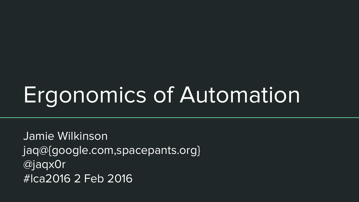# Ergonomics of Automation

Jamie Wilkinson jaq@{google.com,spacepants.org} @jaqx0r #lca2016 2 Feb 2016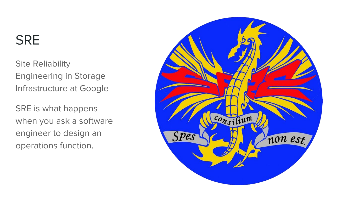# **SRE**

Site Reliability Engineering in Storage Infrastructure at Google

SRE is what happens when you ask a software engineer to design an operations function.

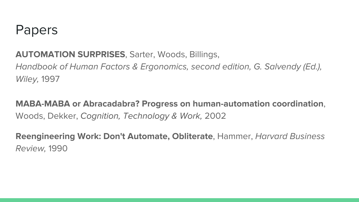#### Papers

#### **AUTOMATION SURPRISES**, Sarter, Woods, Billings,

Handbook of Human Factors & Ergonomics, second edition, G. Salvendy (Ed.), Wiley, 1997

#### **MABA-MABA or Abracadabra? Progress on human-automation coordination**, Woods, Dekker, Cognition, Technology & Work, 2002

**Reengineering Work: Don't Automate, Obliterate**, Hammer, Harvard Business Review, 1990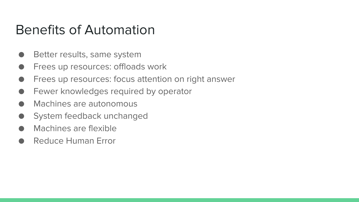#### Benefits of Automation

- Better results, same system
- Frees up resources: offloads work
- Frees up resources: focus attention on right answer
- Fewer knowledges required by operator
- Machines are autonomous
- System feedback unchanged
- Machines are flexible
- Reduce Human Frror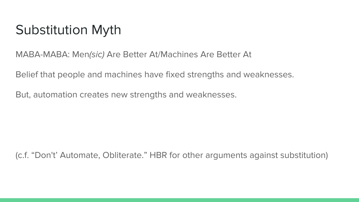# Substitution Myth

MABA-MABA: Men(sic) Are Better At/Machines Are Better At

Belief that people and machines have fixed strengths and weaknesses.

But, automation creates new strengths and weaknesses.

(c.f. "Don't' Automate, Obliterate." HBR for other arguments against substitution)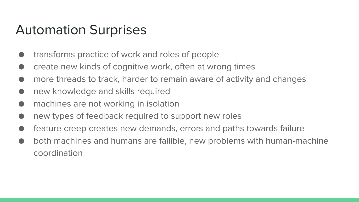#### Automation Surprises

- transforms practice of work and roles of people
- create new kinds of cognitive work, often at wrong times
- more threads to track, harder to remain aware of activity and changes
- new knowledge and skills required
- machines are not working in isolation
- new types of feedback required to support new roles
- feature creep creates new demands, errors and paths towards failure
- both machines and humans are fallible, new problems with human-machine coordination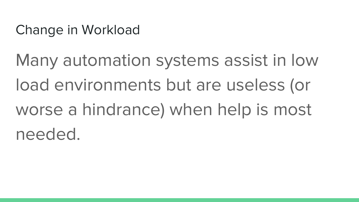Change in Workload

Many automation systems assist in low load environments but are useless (or worse a hindrance) when help is most needed.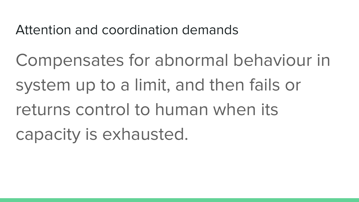Attention and coordination demands

Compensates for abnormal behaviour in system up to a limit, and then fails or returns control to human when its capacity is exhausted.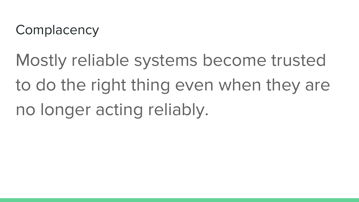# **Complacency**

Mostly reliable systems become trusted to do the right thing even when they are no longer acting reliably.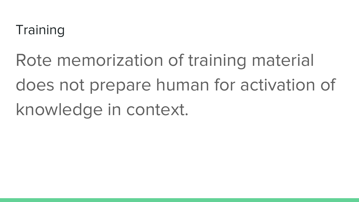# **Training**

Rote memorization of training material does not prepare human for activation of knowledge in context.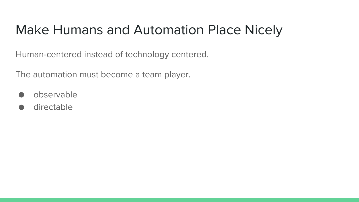# Make Humans and Automation Place Nicely

Human-centered instead of technology centered.

The automation must become a team player.

- observable
- directable